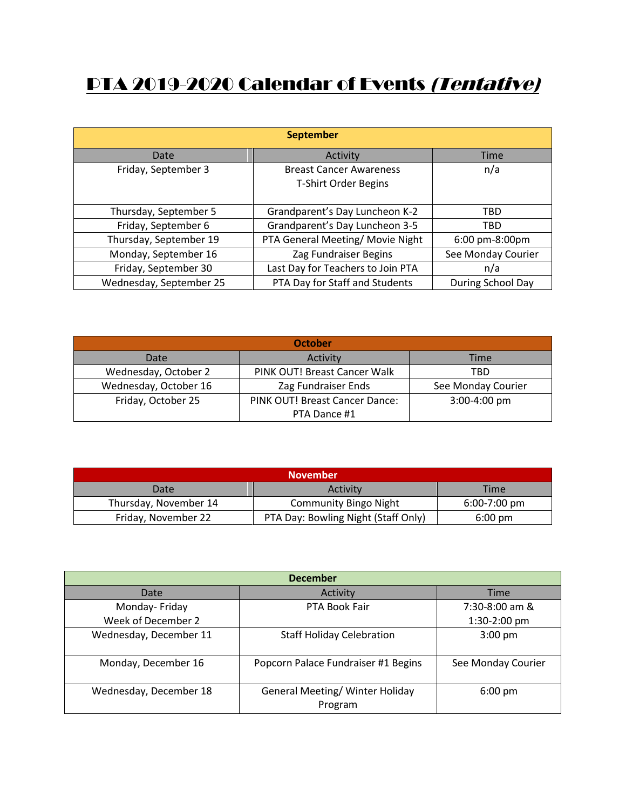## PTA 2019-2020 Calendar of Events (Tentative)

| <b>September</b>        |                                                        |                    |  |
|-------------------------|--------------------------------------------------------|--------------------|--|
| Date                    | Activity                                               | Time               |  |
| Friday, September 3     | <b>Breast Cancer Awareness</b><br>T-Shirt Order Begins | n/a                |  |
| Thursday, September 5   | Grandparent's Day Luncheon K-2                         | TBD                |  |
| Friday, September 6     | Grandparent's Day Luncheon 3-5                         | <b>TBD</b>         |  |
| Thursday, September 19  | PTA General Meeting/ Movie Night                       | 6:00 pm-8:00pm     |  |
| Monday, September 16    | Zag Fundraiser Begins                                  | See Monday Courier |  |
| Friday, September 30    | Last Day for Teachers to Join PTA                      | n/a                |  |
| Wednesday, September 25 | PTA Day for Staff and Students                         | During School Day  |  |

| <b>October</b>        |                                |                    |  |
|-----------------------|--------------------------------|--------------------|--|
| Date                  | Activity                       | Time               |  |
| Wednesday, October 2  | PINK OUT! Breast Cancer Walk   | TBD                |  |
| Wednesday, October 16 | Zag Fundraiser Ends            | See Monday Courier |  |
| Friday, October 25    | PINK OUT! Breast Cancer Dance: | 3:00-4:00 pm       |  |
|                       | PTA Dance #1                   |                    |  |

| <b>November</b>       |                                     |                   |
|-----------------------|-------------------------------------|-------------------|
| Date                  | Activity                            | <b>Time</b>       |
| Thursday, November 14 | <b>Community Bingo Night</b>        | $6:00-7:00$ pm    |
| Friday, November 22   | PTA Day: Bowling Night (Staff Only) | $6:00 \text{ pm}$ |

| <b>December</b>        |                                                   |                    |  |
|------------------------|---------------------------------------------------|--------------------|--|
| Date                   | Activity                                          | Time               |  |
| Monday-Friday          | PTA Book Fair                                     | $7:30-8:00$ am &   |  |
| Week of December 2     |                                                   | 1:30-2:00 pm       |  |
| Wednesday, December 11 | <b>Staff Holiday Celebration</b>                  | $3:00$ pm          |  |
| Monday, December 16    | Popcorn Palace Fundraiser #1 Begins               | See Monday Courier |  |
| Wednesday, December 18 | <b>General Meeting/ Winter Holiday</b><br>Program | $6:00 \text{ pm}$  |  |